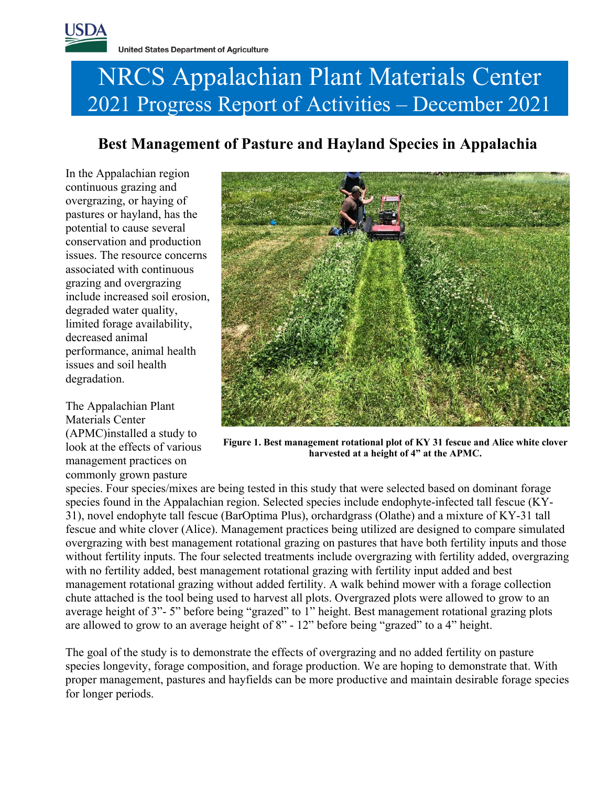# NRCS Appalachian Plant Materials Center 2021 Progress Report of Activities – December 2021

# **Best Management of Pasture and Hayland Species in Appalachia**

In the Appalachian region continuous grazing and overgrazing, or haying of pastures or hayland, has the potential to cause several conservation and production issues. The resource concerns associated with continuous grazing and overgrazing include increased soil erosion, degraded water quality, limited forage availability, decreased animal performance, animal health issues and soil health degradation.

The Appalachian Plant Materials Center (APMC)installed a study to look at the effects of various management practices on commonly grown pasture



**Figure 1. Best management rotational plot of KY 31 fescue and Alice white clover harvested at a height of 4" at the APMC.**

species. Four species/mixes are being tested in this study that were selected based on dominant forage species found in the Appalachian region. Selected species include endophyte-infected tall fescue (KY-31), novel endophyte tall fescue (BarOptima Plus), orchardgrass (Olathe) and a mixture of KY-31 tall fescue and white clover (Alice). Management practices being utilized are designed to compare simulated overgrazing with best management rotational grazing on pastures that have both fertility inputs and those without fertility inputs. The four selected treatments include overgrazing with fertility added, overgrazing with no fertility added, best management rotational grazing with fertility input added and best management rotational grazing without added fertility. A walk behind mower with a forage collection chute attached is the tool being used to harvest all plots. Overgrazed plots were allowed to grow to an average height of 3"- 5" before being "grazed" to 1" height. Best management rotational grazing plots are allowed to grow to an average height of 8" - 12" before being "grazed" to a 4" height.

The goal of the study is to demonstrate the effects of overgrazing and no added fertility on pasture species longevity, forage composition, and forage production. We are hoping to demonstrate that. With proper management, pastures and hayfields can be more productive and maintain desirable forage species for longer periods.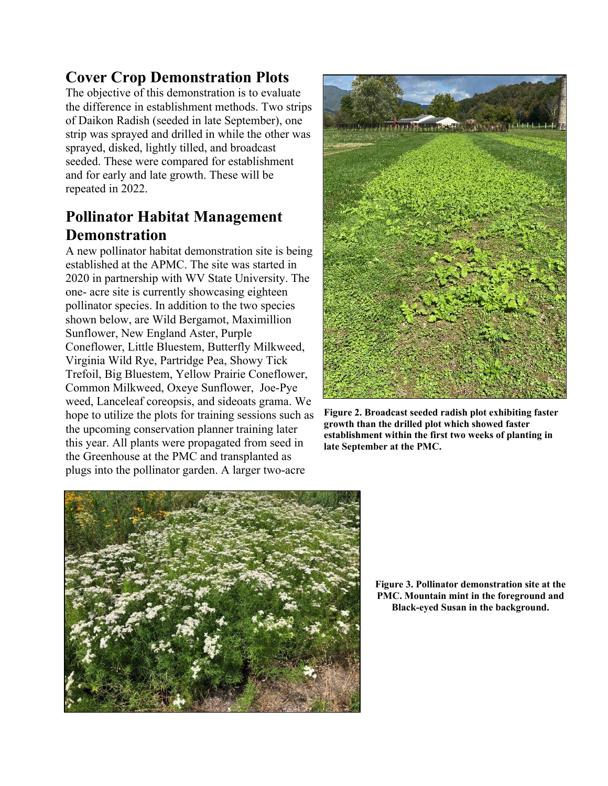# **Cover Crop Demonstration Plots**

The objective of this demonstration is to evaluate the difference in establishment methods. Two strips of Daikon Radish (seeded in late September), one strip was sprayed and drilled in while the other was sprayed, disked, lightly tilled, and broadcast seeded. These were compared for establishment and for early and late growth. These will be repeated in 2022.

## **Pollinator Habitat Management Demonstration**

A new pollinator habitat demonstration site is being established at the APMC. The site was started in 2020 in partnership with WV State University. The one- acre site is currently showcasing eighteen pollinator species. In addition to the two species shown below, are Wild Bergamot, Maximillion Sunflower, New England Aster, Purple Coneflower, Little Bluestem, Butterfly Milkweed, Virginia Wild Rye, Partridge Pea, Showy Tick Trefoil, Big Bluestem, Yellow Prairie Coneflower, Common Milkweed, Oxeye Sunflower, Joe-Pye weed, Lanceleaf coreopsis, and sideoats grama. We hope to utilize the plots for training sessions such as the upcoming conservation planner training later this year. All plants were propagated from seed in the Greenhouse at the PMC and transplanted as plugs into the pollinator garden. A larger two-acre



**Figure 2. Broadcast seeded radish plot exhibiting faster growth than the drilled plot which showed faster establishment within the first two weeks of planting in late September at the PMC.**



**Figure 3. Pollinator demonstration site at the PMC. Mountain mint in the foreground and Black-eyed Susan in the background.**